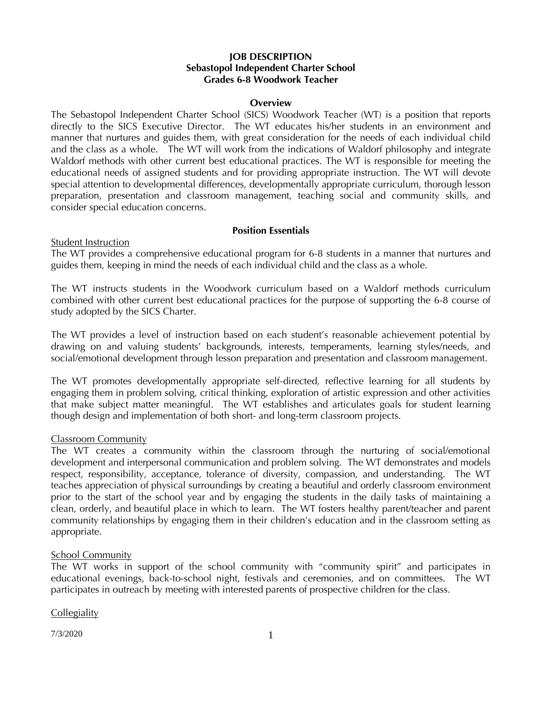# **JOB DESCRIPTION Sebastopol Independent Charter School Grades 6-8 Woodwork Teacher**

### **Overview**

The Sebastopol Independent Charter School (SICS) Woodwork Teacher (WT) is a position that reports directly to the SICS Executive Director. The WT educates his/her students in an environment and manner that nurtures and guides them, with great consideration for the needs of each individual child and the class as a whole. The WT will work from the indications of Waldorf philosophy and integrate Waldorf methods with other current best educational practices. The WT is responsible for meeting the educational needs of assigned students and for providing appropriate instruction. The WT will devote special attention to developmental differences, developmentally appropriate curriculum, thorough lesson preparation, presentation and classroom management, teaching social and community skills, and consider special education concerns.

### **Position Essentials**

#### Student Instruction

The WT provides a comprehensive educational program for 6-8 students in a manner that nurtures and guides them, keeping in mind the needs of each individual child and the class as a whole.

The WT instructs students in the Woodwork curriculum based on a Waldorf methods curriculum combined with other current best educational practices for the purpose of supporting the 6-8 course of study adopted by the SICS Charter.

The WT provides a level of instruction based on each student's reasonable achievement potential by drawing on and valuing students' backgrounds, interests, temperaments, learning styles/needs, and social/emotional development through lesson preparation and presentation and classroom management.

The WT promotes developmentally appropriate self-directed, reflective learning for all students by engaging them in problem solving, critical thinking, exploration of artistic expression and other activities that make subject matter meaningful. The WT establishes and articulates goals for student learning though design and implementation of both short- and long-term classroom projects.

### Classroom Community

The WT creates a community within the classroom through the nurturing of social/emotional development and interpersonal communication and problem solving. The WT demonstrates and models respect, responsibility, acceptance, tolerance of diversity, compassion, and understanding. The WT teaches appreciation of physical surroundings by creating a beautiful and orderly classroom environment prior to the start of the school year and by engaging the students in the daily tasks of maintaining a clean, orderly, and beautiful place in which to learn. The WT fosters healthy parent/teacher and parent community relationships by engaging them in their children's education and in the classroom setting as appropriate.

### **School Community**

The WT works in support of the school community with "community spirit" and participates in educational evenings, back-to-school night, festivals and ceremonies, and on committees. The WT participates in outreach by meeting with interested parents of prospective children for the class.

**Collegiality** 

7/3/2020 1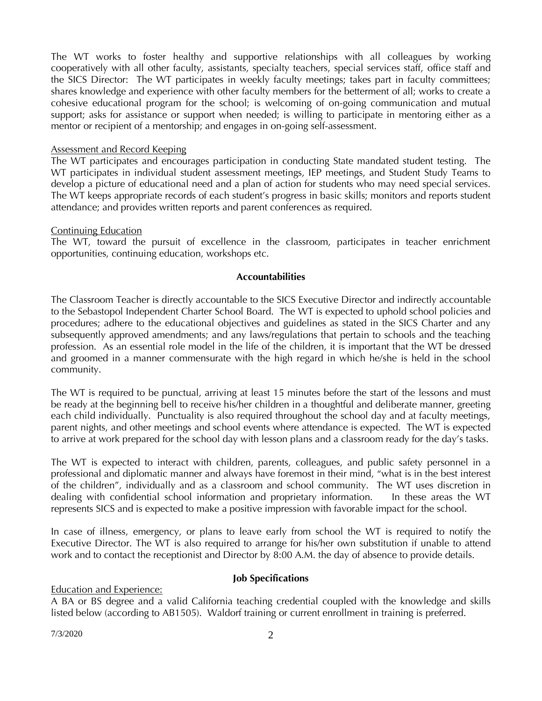The WT works to foster healthy and supportive relationships with all colleagues by working cooperatively with all other faculty, assistants, specialty teachers, special services staff, office staff and the SICS Director: The WT participates in weekly faculty meetings; takes part in faculty committees; shares knowledge and experience with other faculty members for the betterment of all; works to create a cohesive educational program for the school; is welcoming of on-going communication and mutual support; asks for assistance or support when needed; is willing to participate in mentoring either as a mentor or recipient of a mentorship; and engages in on-going self-assessment.

### Assessment and Record Keeping

The WT participates and encourages participation in conducting State mandated student testing. The WT participates in individual student assessment meetings, IEP meetings, and Student Study Teams to develop a picture of educational need and a plan of action for students who may need special services. The WT keeps appropriate records of each student's progress in basic skills; monitors and reports student attendance; and provides written reports and parent conferences as required.

# Continuing Education

The WT, toward the pursuit of excellence in the classroom, participates in teacher enrichment opportunities, continuing education, workshops etc.

# **Accountabilities**

The Classroom Teacher is directly accountable to the SICS Executive Director and indirectly accountable to the Sebastopol Independent Charter School Board. The WT is expected to uphold school policies and procedures; adhere to the educational objectives and guidelines as stated in the SICS Charter and any subsequently approved amendments; and any laws/regulations that pertain to schools and the teaching profession. As an essential role model in the life of the children, it is important that the WT be dressed and groomed in a manner commensurate with the high regard in which he/she is held in the school community.

The WT is required to be punctual, arriving at least 15 minutes before the start of the lessons and must be ready at the beginning bell to receive his/her children in a thoughtful and deliberate manner, greeting each child individually. Punctuality is also required throughout the school day and at faculty meetings, parent nights, and other meetings and school events where attendance is expected. The WT is expected to arrive at work prepared for the school day with lesson plans and a classroom ready for the day's tasks.

The WT is expected to interact with children, parents, colleagues, and public safety personnel in a professional and diplomatic manner and always have foremost in their mind, "what is in the best interest of the children", individually and as a classroom and school community. The WT uses discretion in dealing with confidential school information and proprietary information. In these areas the WT represents SICS and is expected to make a positive impression with favorable impact for the school.

In case of illness, emergency, or plans to leave early from school the WT is required to notify the Executive Director. The WT is also required to arrange for his/her own substitution if unable to attend work and to contact the receptionist and Director by 8:00 A.M. the day of absence to provide details.

### **Job Specifications**

Education and Experience:

A BA or BS degree and a valid California teaching credential coupled with the knowledge and skills listed below (according to AB1505). Waldorf training or current enrollment in training is preferred.

 $7/3/2020$  2